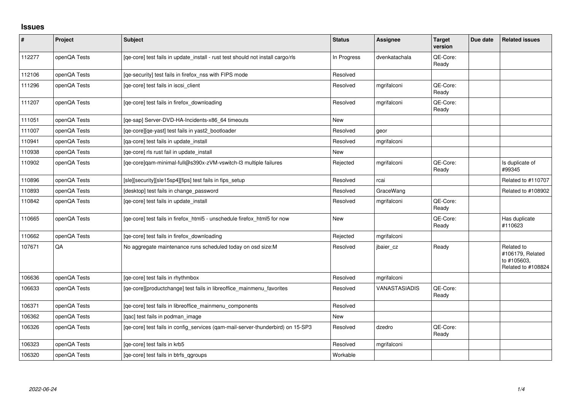## **Issues**

| $\vert$ # | Project      | <b>Subject</b>                                                                  | <b>Status</b> | Assignee      | <b>Target</b><br>version | Due date | <b>Related issues</b>                                               |
|-----------|--------------|---------------------------------------------------------------------------------|---------------|---------------|--------------------------|----------|---------------------------------------------------------------------|
| 112277    | openQA Tests | [qe-core] test fails in update_install - rust test should not install cargo/rls | In Progress   | dvenkatachala | QE-Core:<br>Ready        |          |                                                                     |
| 112106    | openQA Tests | [qe-security] test fails in firefox_nss with FIPS mode                          | Resolved      |               |                          |          |                                                                     |
| 111296    | openQA Tests | [qe-core] test fails in iscsi_client                                            | Resolved      | mgrifalconi   | QE-Core:<br>Ready        |          |                                                                     |
| 111207    | openQA Tests | [ge-core] test fails in firefox downloading                                     | Resolved      | mgrifalconi   | QE-Core:<br>Ready        |          |                                                                     |
| 111051    | openQA Tests | [qe-sap] Server-DVD-HA-Incidents-x86_64 timeouts                                | <b>New</b>    |               |                          |          |                                                                     |
| 111007    | openQA Tests | [qe-core][qe-yast] test fails in yast2_bootloader                               | Resolved      | geor          |                          |          |                                                                     |
| 110941    | openQA Tests | [qa-core] test fails in update_install                                          | Resolved      | mgrifalconi   |                          |          |                                                                     |
| 110938    | openQA Tests | [ge-core] rls rust fail in update install                                       | New           |               |                          |          |                                                                     |
| 110902    | openQA Tests | [qe-core]qam-minimal-full@s390x-zVM-vswitch-l3 multiple failures                | Rejected      | mgrifalconi   | QE-Core:<br>Ready        |          | Is duplicate of<br>#99345                                           |
| 110896    | openQA Tests | [sle][security][sle15sp4][fips] test fails in fips_setup                        | Resolved      | rcai          |                          |          | Related to #110707                                                  |
| 110893    | openQA Tests | [desktop] test fails in change_password                                         | Resolved      | GraceWang     |                          |          | Related to #108902                                                  |
| 110842    | openQA Tests | [qe-core] test fails in update_install                                          | Resolved      | mgrifalconi   | QE-Core:<br>Ready        |          |                                                                     |
| 110665    | openQA Tests | [qe-core] test fails in firefox_html5 - unschedule firefox_html5 for now        | <b>New</b>    |               | QE-Core:<br>Ready        |          | Has duplicate<br>#110623                                            |
| 110662    | openQA Tests | [ge-core] test fails in firefox downloading                                     | Rejected      | mgrifalconi   |                          |          |                                                                     |
| 107671    | QA           | No aggregate maintenance runs scheduled today on osd size:M                     | Resolved      | jbaier cz     | Ready                    |          | Related to<br>#106179, Related<br>to #105603,<br>Related to #108824 |
| 106636    | openQA Tests | [qe-core] test fails in rhythmbox                                               | Resolved      | mgrifalconi   |                          |          |                                                                     |
| 106633    | openQA Tests | [qe-core][productchange] test fails in libreoffice_mainmenu_favorites           | Resolved      | VANASTASIADIS | QE-Core:<br>Ready        |          |                                                                     |
| 106371    | openQA Tests | [qe-core] test fails in libreoffice_mainmenu_components                         | Resolved      |               |                          |          |                                                                     |
| 106362    | openQA Tests | [qac] test fails in podman_image                                                | New           |               |                          |          |                                                                     |
| 106326    | openQA Tests | [qe-core] test fails in config_services (qam-mail-server-thunderbird) on 15-SP3 | Resolved      | dzedro        | QE-Core:<br>Ready        |          |                                                                     |
| 106323    | openQA Tests | [qe-core] test fails in krb5                                                    | Resolved      | mgrifalconi   |                          |          |                                                                     |
| 106320    | openQA Tests | [ge-core] test fails in btrfs ggroups                                           | Workable      |               |                          |          |                                                                     |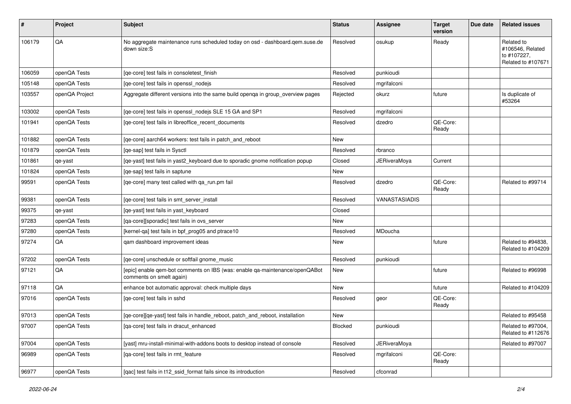| #      | Project        | <b>Subject</b>                                                                                          | <b>Status</b> | <b>Assignee</b>      | <b>Target</b><br>version | Due date | <b>Related issues</b>                                               |
|--------|----------------|---------------------------------------------------------------------------------------------------------|---------------|----------------------|--------------------------|----------|---------------------------------------------------------------------|
| 106179 | QA             | No aggregate maintenance runs scheduled today on osd - dashboard.qem.suse.de<br>down size:S             | Resolved      | osukup               | Ready                    |          | Related to<br>#106546, Related<br>to #107227,<br>Related to #107671 |
| 106059 | openQA Tests   | [ge-core] test fails in consoletest finish                                                              | Resolved      | punkioudi            |                          |          |                                                                     |
| 105148 | openQA Tests   | [ge-core] test fails in openssl nodejs                                                                  | Resolved      | mgrifalconi          |                          |          |                                                                     |
| 103557 | openQA Project | Aggregate different versions into the same build openga in group_overview pages                         | Rejected      | okurz                | future                   |          | Is duplicate of<br>#53264                                           |
| 103002 | openQA Tests   | [ge-core] test fails in openssl nodejs SLE 15 GA and SP1                                                | Resolved      | mgrifalconi          |                          |          |                                                                     |
| 101941 | openQA Tests   | [qe-core] test fails in libreoffice_recent_documents                                                    | Resolved      | dzedro               | QE-Core:<br>Ready        |          |                                                                     |
| 101882 | openQA Tests   | [qe-core] aarch64 workers: test fails in patch_and_reboot                                               | New           |                      |                          |          |                                                                     |
| 101879 | openQA Tests   | [ge-sap] test fails in Sysctl                                                                           | Resolved      | rbranco              |                          |          |                                                                     |
| 101861 | qe-yast        | [qe-yast] test fails in yast2_keyboard due to sporadic gnome notification popup                         | Closed        | <b>JERiveraMova</b>  | Current                  |          |                                                                     |
| 101824 | openQA Tests   | [qe-sap] test fails in saptune                                                                          | New           |                      |                          |          |                                                                     |
| 99591  | openQA Tests   | [ge-core] many test called with ga run.pm fail                                                          | Resolved      | dzedro               | QE-Core:<br>Ready        |          | Related to #99714                                                   |
| 99381  | openQA Tests   | [ge-core] test fails in smt server install                                                              | Resolved      | <b>VANASTASIADIS</b> |                          |          |                                                                     |
| 99375  | qe-yast        | [qe-yast] test fails in yast_keyboard                                                                   | Closed        |                      |                          |          |                                                                     |
| 97283  | openQA Tests   | [qa-core][sporadic] test fails in ovs_server                                                            | New           |                      |                          |          |                                                                     |
| 97280  | openQA Tests   | [kernel-qa] test fails in bpf_prog05 and ptrace10                                                       | Resolved      | MDoucha              |                          |          |                                                                     |
| 97274  | QA             | qam dashboard improvement ideas                                                                         | New           |                      | future                   |          | Related to #94838,<br>Related to #104209                            |
| 97202  | openQA Tests   | [qe-core] unschedule or softfail gnome_music                                                            | Resolved      | punkioudi            |                          |          |                                                                     |
| 97121  | QA             | [epic] enable qem-bot comments on IBS (was: enable qa-maintenance/openQABot<br>comments on smelt again) | New           |                      | future                   |          | Related to #96998                                                   |
| 97118  | QA             | enhance bot automatic approval: check multiple days                                                     | New           |                      | future                   |          | Related to #104209                                                  |
| 97016  | openQA Tests   | [ge-core] test fails in sshd                                                                            | Resolved      | geor                 | QE-Core:<br>Ready        |          |                                                                     |
| 97013  | openQA Tests   | [qe-core][qe-yast] test fails in handle_reboot, patch_and_reboot, installation                          | New           |                      |                          |          | Related to #95458                                                   |
| 97007  | openQA Tests   | [qa-core] test fails in dracut_enhanced                                                                 | Blocked       | punkioudi            |                          |          | Related to #97004,<br>Related to #112676                            |
| 97004  | openQA Tests   | [yast] mru-install-minimal-with-addons boots to desktop instead of console                              | Resolved      | <b>JERiveraMoya</b>  |                          |          | Related to #97007                                                   |
| 96989  | openQA Tests   | [qa-core] test fails in rmt feature                                                                     | Resolved      | mgrifalconi          | QE-Core:<br>Ready        |          |                                                                     |
| 96977  | openQA Tests   | [qac] test fails in t12_ssid_format fails since its introduction                                        | Resolved      | cfconrad             |                          |          |                                                                     |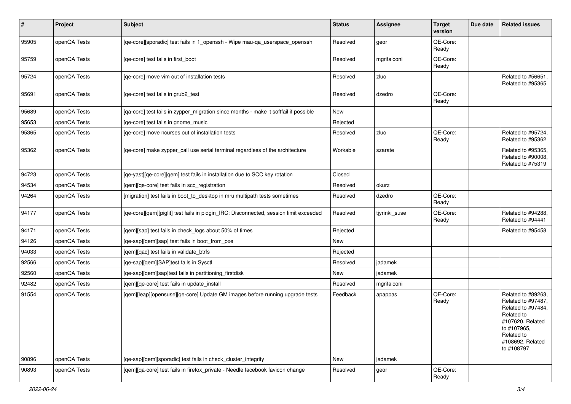| #     | Project      | Subject                                                                               | <b>Status</b> | Assignee      | <b>Target</b><br>version | Due date | <b>Related issues</b>                                                                                                                                           |
|-------|--------------|---------------------------------------------------------------------------------------|---------------|---------------|--------------------------|----------|-----------------------------------------------------------------------------------------------------------------------------------------------------------------|
| 95905 | openQA Tests | [qe-core][sporadic] test fails in 1_openssh - Wipe mau-qa_userspace_openssh           | Resolved      | geor          | QE-Core:<br>Ready        |          |                                                                                                                                                                 |
| 95759 | openQA Tests | [ge-core] test fails in first boot                                                    | Resolved      | mgrifalconi   | QE-Core:<br>Ready        |          |                                                                                                                                                                 |
| 95724 | openQA Tests | [ge-core] move vim out of installation tests                                          | Resolved      | zluo          |                          |          | Related to #56651,<br>Related to #95365                                                                                                                         |
| 95691 | openQA Tests | [qe-core] test fails in grub2_test                                                    | Resolved      | dzedro        | QE-Core:<br>Ready        |          |                                                                                                                                                                 |
| 95689 | openQA Tests | [qa-core] test fails in zypper_migration since months - make it softfail if possible  | New           |               |                          |          |                                                                                                                                                                 |
| 95653 | openQA Tests | [qe-core] test fails in gnome_music                                                   | Rejected      |               |                          |          |                                                                                                                                                                 |
| 95365 | openQA Tests | [qe-core] move ncurses out of installation tests                                      | Resolved      | zluo          | QE-Core:<br>Ready        |          | Related to #95724,<br>Related to #95362                                                                                                                         |
| 95362 | openQA Tests | [qe-core] make zypper_call use serial terminal regardless of the architecture         | Workable      | szarate       |                          |          | Related to #95365,<br>Related to #90008,<br>Related to #75319                                                                                                   |
| 94723 | openQA Tests | [qe-yast][qe-core][qem] test fails in installation due to SCC key rotation            | Closed        |               |                          |          |                                                                                                                                                                 |
| 94534 | openQA Tests | [qem][qe-core] test fails in scc_registration                                         | Resolved      | okurz         |                          |          |                                                                                                                                                                 |
| 94264 | openQA Tests | [migration] test fails in boot_to_desktop in mru multipath tests sometimes            | Resolved      | dzedro        | QE-Core:<br>Ready        |          |                                                                                                                                                                 |
| 94177 | openQA Tests | [qe-core][qem][piglit] test fails in pidgin_IRC: Disconnected, session limit exceeded | Resolved      | tiyrinki suse | QE-Core:<br>Ready        |          | Related to #94288.<br>Related to #94441                                                                                                                         |
| 94171 | openQA Tests | [qem][sap] test fails in check_logs about 50% of times                                | Rejected      |               |                          |          | Related to #95458                                                                                                                                               |
| 94126 | openQA Tests | [qe-sap][qem][sap] test fails in boot_from_pxe                                        | <b>New</b>    |               |                          |          |                                                                                                                                                                 |
| 94033 | openQA Tests | [qem][qac] test fails in validate_btrfs                                               | Rejected      |               |                          |          |                                                                                                                                                                 |
| 92566 | openQA Tests | [qe-sap][qem][SAP]test fails in Sysctl                                                | Resolved      | jadamek       |                          |          |                                                                                                                                                                 |
| 92560 | openQA Tests | [qe-sap][qem][sap]test fails in partitioning_firstdisk                                | New           | jadamek       |                          |          |                                                                                                                                                                 |
| 92482 | openQA Tests | [qem][qe-core] test fails in update_install                                           | Resolved      | mgrifalconi   |                          |          |                                                                                                                                                                 |
| 91554 | openQA Tests | [qem][leap][opensuse][qe-core] Update GM images before running upgrade tests          | Feedback      | apappas       | QE-Core:<br>Ready        |          | Related to #89263,<br>Related to #97487,<br>Related to #97484,<br>Related to<br>#107620, Related<br>to #107965,<br>Related to<br>#108692, Related<br>to #108797 |
| 90896 | openQA Tests | [qe-sap][qem][sporadic] test fails in check_cluster_integrity                         | New           | jadamek       |                          |          |                                                                                                                                                                 |
| 90893 | openQA Tests | [gem][ga-core] test fails in firefox_private - Needle facebook favicon change         | Resolved      | geor          | QE-Core:<br>Ready        |          |                                                                                                                                                                 |